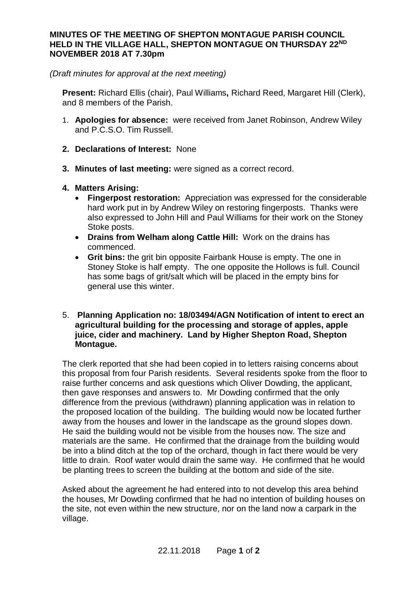## **MINUTES OF THE MEETING OF SHEPTON MONTAGUE PARISH COUNCIL HELD IN THE VILLAGE HALL, SHEPTON MONTAGUE ON THURSDAY 22ND NOVEMBER 2018 AT 7.30pm**

*(Draft minutes for approval at the next meeting)*

**Present:** Richard Ellis (chair), Paul Williams**,** Richard Reed, Margaret Hill (Clerk), and 8 members of the Parish.

- 1. **Apologies for absence:** were received from Janet Robinson, Andrew Wiley and P.C.S.O. Tim Russell.
- **2. Declarations of Interest:** None
- **3. Minutes of last meeting:** were signed as a correct record.
- **4. Matters Arising:**
	- · **Fingerpost restoration:** Appreciation was expressed for the considerable hard work put in by Andrew Wiley on restoring fingerposts. Thanks were also expressed to John Hill and Paul Williams for their work on the Stoney Stoke posts.
	- · **Drains from Welham along Cattle Hill:** Work on the drains has commenced.
	- · **Grit bins:** the grit bin opposite Fairbank House is empty. The one in Stoney Stoke is half empty. The one opposite the Hollows is full. Council has some bags of grit/salt which will be placed in the empty bins for general use this winter.

## 5. **Planning Application no: 18/03494/AGN Notification of intent to erect an agricultural building for the processing and storage of apples, apple juice, cider and machinery. Land by Higher Shepton Road, Shepton Montague.**

The clerk reported that she had been copied in to letters raising concerns about this proposal from four Parish residents. Several residents spoke from the floor to raise further concerns and ask questions which Oliver Dowding, the applicant, then gave responses and answers to. Mr Dowding confirmed that the only difference from the previous (withdrawn) planning application was in relation to the proposed location of the building. The building would now be located further away from the houses and lower in the landscape as the ground slopes down. He said the building would not be visible from the houses now. The size and materials are the same. He confirmed that the drainage from the building would be into a blind ditch at the top of the orchard, though in fact there would be very little to drain. Roof water would drain the same way. He confirmed that he would be planting trees to screen the building at the bottom and side of the site.

Asked about the agreement he had entered into to not develop this area behind the houses, Mr Dowding confirmed that he had no intention of building houses on the site, not even within the new structure, nor on the land now a carpark in the village.